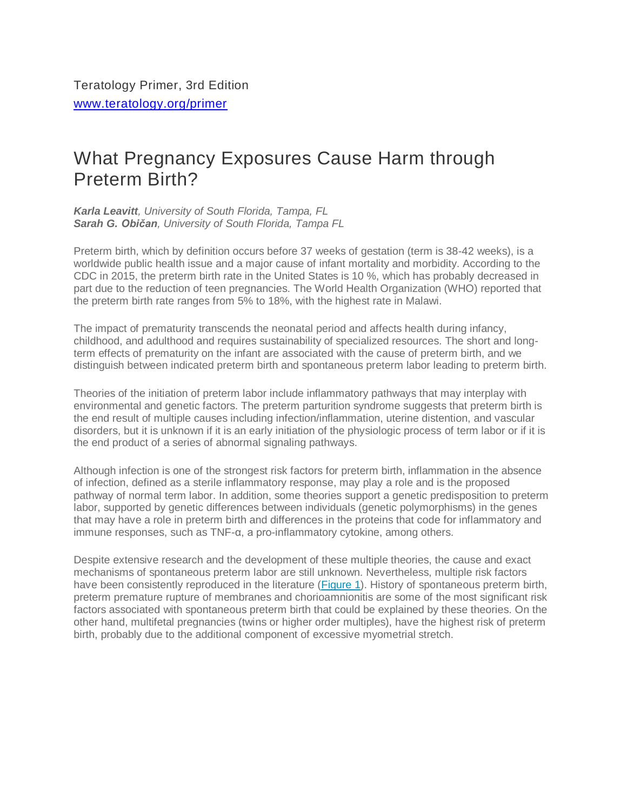## What Pregnancy Exposures Cause Harm through Preterm Birth?

*Karla Leavitt, University of South Florida, Tampa, FL Sarah G. Običan, University of South Florida, Tampa FL*

Preterm birth, which by definition occurs before 37 weeks of gestation (term is 38-42 weeks), is a worldwide public health issue and a major cause of infant mortality and morbidity. According to the CDC in 2015, the preterm birth rate in the United States is 10 %, which has probably decreased in part due to the reduction of teen pregnancies. The World Health Organization (WHO) reported that the preterm birth rate ranges from 5% to 18%, with the highest rate in Malawi.

The impact of prematurity transcends the neonatal period and affects health during infancy, childhood, and adulthood and requires sustainability of specialized resources. The short and longterm effects of prematurity on the infant are associated with the cause of preterm birth, and we distinguish between indicated preterm birth and spontaneous preterm labor leading to preterm birth.

Theories of the initiation of preterm labor include inflammatory pathways that may interplay with environmental and genetic factors. The preterm parturition syndrome suggests that preterm birth is the end result of multiple causes including infection/inflammation, uterine distention, and vascular disorders, but it is unknown if it is an early initiation of the physiologic process of term labor or if it is the end product of a series of abnormal signaling pathways.

Although infection is one of the strongest risk factors for preterm birth, inflammation in the absence of infection, defined as a sterile inflammatory response, may play a role and is the proposed pathway of normal term labor. In addition, some theories support a genetic predisposition to preterm labor, supported by genetic differences between individuals (genetic polymorphisms) in the genes that may have a role in preterm birth and differences in the proteins that code for inflammatory and immune responses, such as TNF-α, a pro-inflammatory cytokine, among others.

Despite extensive research and the development of these multiple theories, the cause and exact mechanisms of spontaneous preterm labor are still unknown. Nevertheless, multiple risk factors have been consistently reproduced in the literature [\(Figure](https://www.teratology.org/primer/preterm-birth.asp#fig1) 1). History of spontaneous preterm birth, preterm premature rupture of membranes and chorioamnionitis are some of the most significant risk factors associated with spontaneous preterm birth that could be explained by these theories. On the other hand, multifetal pregnancies (twins or higher order multiples), have the highest risk of preterm birth, probably due to the additional component of excessive myometrial stretch.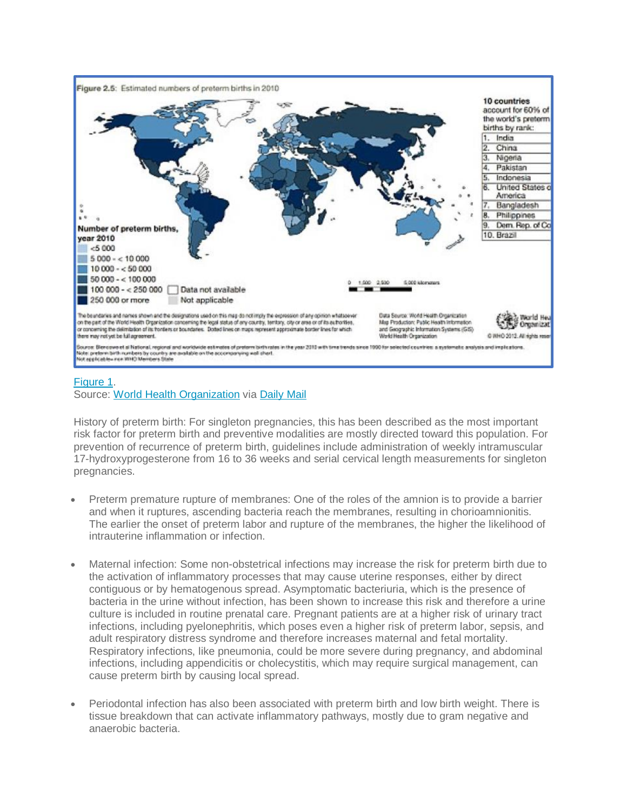

## [Figure](https://www.teratology.org/primer/preterm-birth.asp#fig1) 1. Source: World Health [Organization](http://www.who.int/mediacentre/factsheets/fs363/en/) via [Daily](http://www.dailymail.co.uk/news/article-2139194/Report-ranks-US-131st-184-countries-premature-birth-rates-EQUALS-Somalia-Thailand.html) Mail

History of preterm birth: For singleton pregnancies, this has been described as the most important risk factor for preterm birth and preventive modalities are mostly directed toward this population. For prevention of recurrence of preterm birth, guidelines include administration of weekly intramuscular 17-hydroxyprogesterone from 16 to 36 weeks and serial cervical length measurements for singleton pregnancies.

- Preterm premature rupture of membranes: One of the roles of the amnion is to provide a barrier and when it ruptures, ascending bacteria reach the membranes, resulting in chorioamnionitis. The earlier the onset of preterm labor and rupture of the membranes, the higher the likelihood of intrauterine inflammation or infection.
- Maternal infection: Some non-obstetrical infections may increase the risk for preterm birth due to the activation of inflammatory processes that may cause uterine responses, either by direct contiguous or by hematogenous spread. Asymptomatic bacteriuria, which is the presence of bacteria in the urine without infection, has been shown to increase this risk and therefore a urine culture is included in routine prenatal care. Pregnant patients are at a higher risk of urinary tract infections, including pyelonephritis, which poses even a higher risk of preterm labor, sepsis, and adult respiratory distress syndrome and therefore increases maternal and fetal mortality. Respiratory infections, like pneumonia, could be more severe during pregnancy, and abdominal infections, including appendicitis or cholecystitis, which may require surgical management, can cause preterm birth by causing local spread.
- Periodontal infection has also been associated with preterm birth and low birth weight. There is tissue breakdown that can activate inflammatory pathways, mostly due to gram negative and anaerobic bacteria.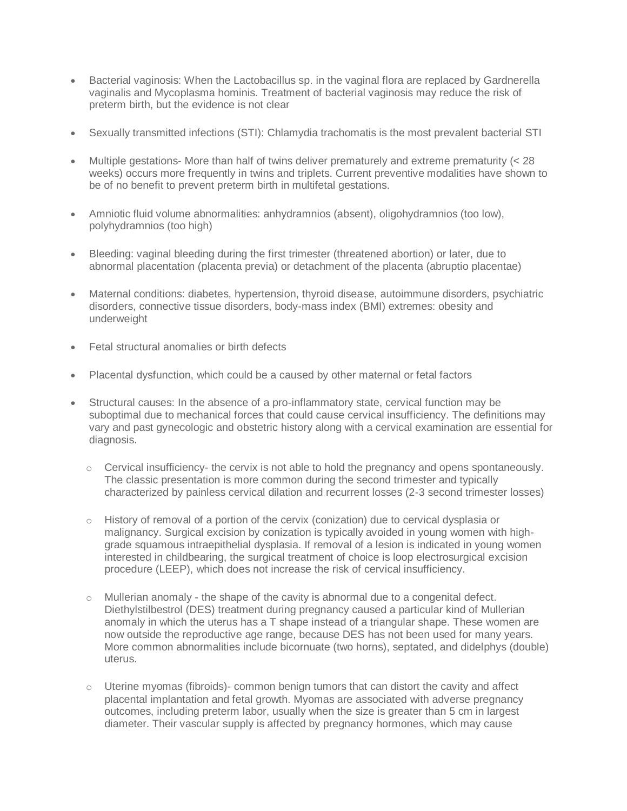- Bacterial vaginosis: When the Lactobacillus sp. in the vaginal flora are replaced by Gardnerella vaginalis and Mycoplasma hominis. Treatment of bacterial vaginosis may reduce the risk of preterm birth, but the evidence is not clear
- Sexually transmitted infections (STI): Chlamydia trachomatis is the most prevalent bacterial STI
- Multiple gestations- More than half of twins deliver prematurely and extreme prematurity  $\langle < 28$ weeks) occurs more frequently in twins and triplets. Current preventive modalities have shown to be of no benefit to prevent preterm birth in multifetal gestations.
- Amniotic fluid volume abnormalities: anhydramnios (absent), oligohydramnios (too low), polyhydramnios (too high)
- Bleeding: vaginal bleeding during the first trimester (threatened abortion) or later, due to abnormal placentation (placenta previa) or detachment of the placenta (abruptio placentae)
- Maternal conditions: diabetes, hypertension, thyroid disease, autoimmune disorders, psychiatric disorders, connective tissue disorders, body-mass index (BMI) extremes: obesity and underweight
- Fetal structural anomalies or birth defects
- Placental dysfunction, which could be a caused by other maternal or fetal factors
- Structural causes: In the absence of a pro-inflammatory state, cervical function may be suboptimal due to mechanical forces that could cause cervical insufficiency. The definitions may vary and past gynecologic and obstetric history along with a cervical examination are essential for diagnosis.
	- o Cervical insufficiency- the cervix is not able to hold the pregnancy and opens spontaneously. The classic presentation is more common during the second trimester and typically characterized by painless cervical dilation and recurrent losses (2-3 second trimester losses)
	- o History of removal of a portion of the cervix (conization) due to cervical dysplasia or malignancy. Surgical excision by conization is typically avoided in young women with highgrade squamous intraepithelial dysplasia. If removal of a lesion is indicated in young women interested in childbearing, the surgical treatment of choice is loop electrosurgical excision procedure (LEEP), which does not increase the risk of cervical insufficiency.
	- $\circ$  Mullerian anomaly the shape of the cavity is abnormal due to a congenital defect. Diethylstilbestrol (DES) treatment during pregnancy caused a particular kind of Mullerian anomaly in which the uterus has a T shape instead of a triangular shape. These women are now outside the reproductive age range, because DES has not been used for many years. More common abnormalities include bicornuate (two horns), septated, and didelphys (double) uterus.
	- $\circ$  Uterine myomas (fibroids)- common benign tumors that can distort the cavity and affect placental implantation and fetal growth. Myomas are associated with adverse pregnancy outcomes, including preterm labor, usually when the size is greater than 5 cm in largest diameter. Their vascular supply is affected by pregnancy hormones, which may cause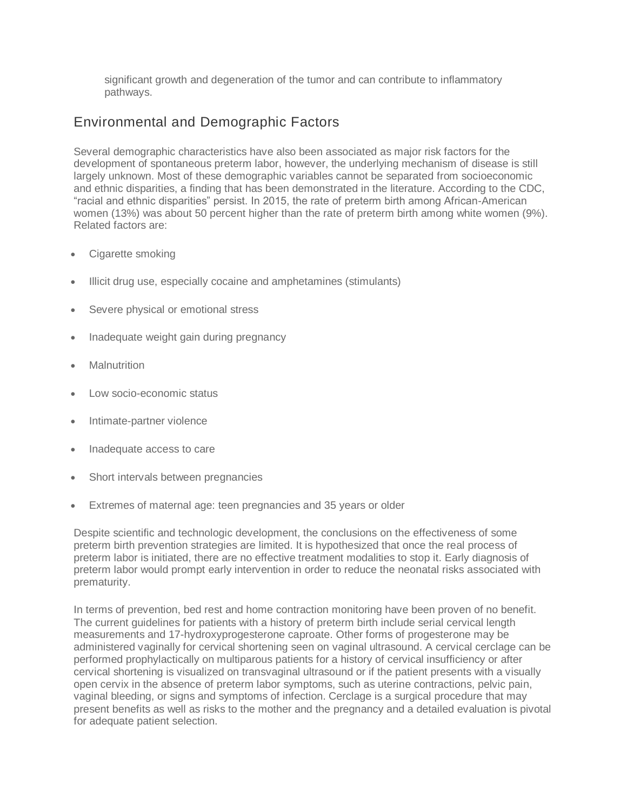significant growth and degeneration of the tumor and can contribute to inflammatory pathways.

## Environmental and Demographic Factors

Several demographic characteristics have also been associated as major risk factors for the development of spontaneous preterm labor, however, the underlying mechanism of disease is still largely unknown. Most of these demographic variables cannot be separated from socioeconomic and ethnic disparities, a finding that has been demonstrated in the literature. According to the CDC, "racial and ethnic disparities" persist. In 2015, the rate of preterm birth among African-American women (13%) was about 50 percent higher than the rate of preterm birth among white women (9%). Related factors are:

- Cigarette smoking
- Illicit drug use, especially cocaine and amphetamines (stimulants)
- Severe physical or emotional stress
- Inadequate weight gain during pregnancy
- **Malnutrition**
- Low socio-economic status
- Intimate-partner violence
- Inadequate access to care
- Short intervals between pregnancies
- Extremes of maternal age: teen pregnancies and 35 years or older

Despite scientific and technologic development, the conclusions on the effectiveness of some preterm birth prevention strategies are limited. It is hypothesized that once the real process of preterm labor is initiated, there are no effective treatment modalities to stop it. Early diagnosis of preterm labor would prompt early intervention in order to reduce the neonatal risks associated with prematurity.

In terms of prevention, bed rest and home contraction monitoring have been proven of no benefit. The current guidelines for patients with a history of preterm birth include serial cervical length measurements and 17-hydroxyprogesterone caproate. Other forms of progesterone may be administered vaginally for cervical shortening seen on vaginal ultrasound. A cervical cerclage can be performed prophylactically on multiparous patients for a history of cervical insufficiency or after cervical shortening is visualized on transvaginal ultrasound or if the patient presents with a visually open cervix in the absence of preterm labor symptoms, such as uterine contractions, pelvic pain, vaginal bleeding, or signs and symptoms of infection. Cerclage is a surgical procedure that may present benefits as well as risks to the mother and the pregnancy and a detailed evaluation is pivotal for adequate patient selection.